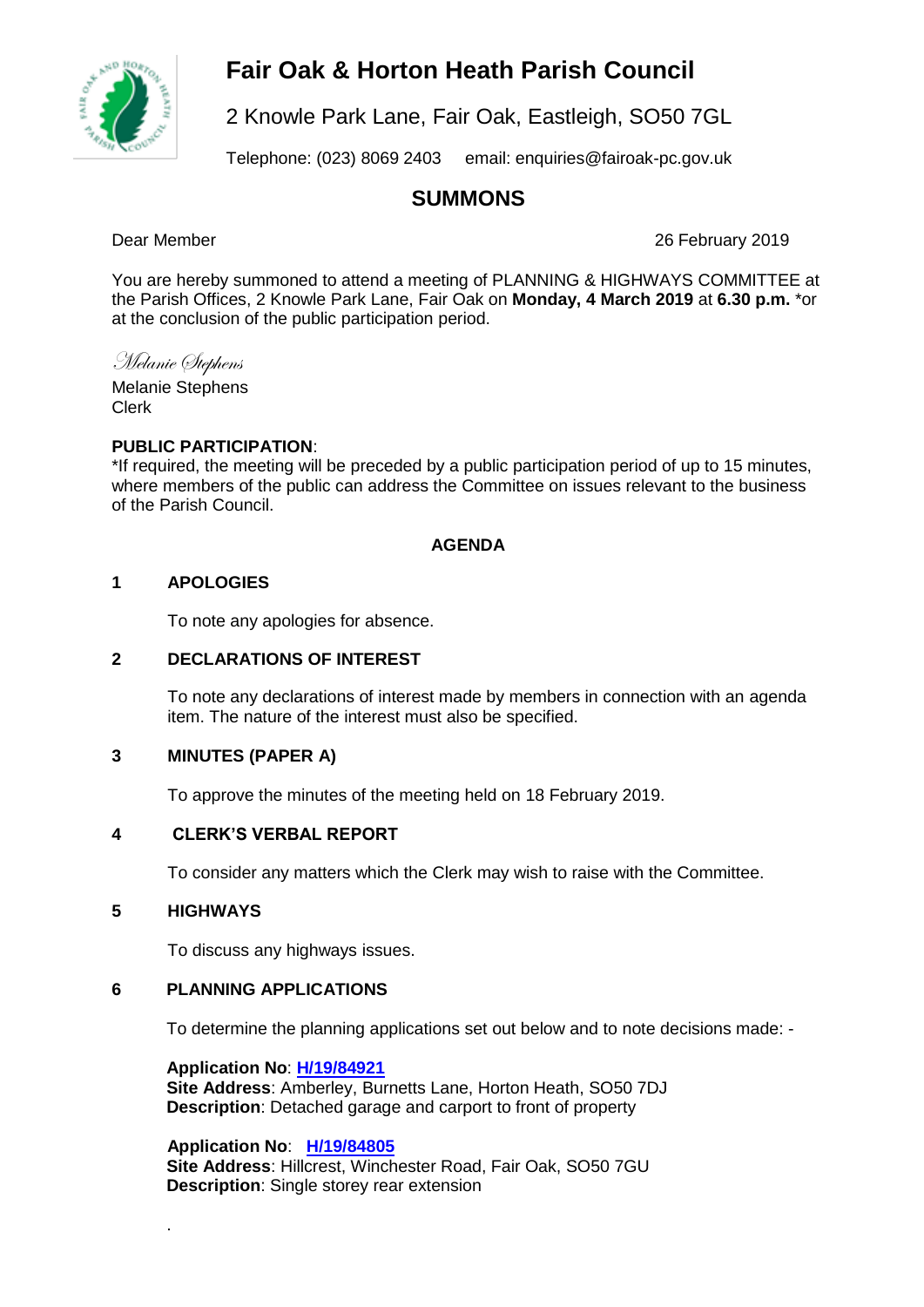# **Fair Oak & Horton Heath Parish Council**



2 Knowle Park Lane, Fair Oak, Eastleigh, SO50 7GL

Telephone: (023) 8069 2403 email: enquiries@fairoak-pc.gov.uk

## **SUMMONS**

Dear Member 26 February 2019

You are hereby summoned to attend a meeting of PLANNING & HIGHWAYS COMMITTEE at the Parish Offices, 2 Knowle Park Lane, Fair Oak on **Monday, 4 March 2019** at **6.30 p.m.** \*or at the conclusion of the public participation period.

Melanie Stephens

Melanie Stephens Clerk

#### **PUBLIC PARTICIPATION**:

\*If required, the meeting will be preceded by a public participation period of up to 15 minutes, where members of the public can address the Committee on issues relevant to the business of the Parish Council.

#### **AGENDA**

#### **1 APOLOGIES**

To note any apologies for absence.

#### **2 DECLARATIONS OF INTEREST**

To note any declarations of interest made by members in connection with an agenda item. The nature of the interest must also be specified.

#### **3 MINUTES (PAPER A)**

To approve the minutes of the meeting held on 18 February 2019.

### **4 CLERK'S VERBAL REPORT**

To consider any matters which the Clerk may wish to raise with the Committee.

#### **5 HIGHWAYS**

.

To discuss any highways issues.

#### **6 PLANNING APPLICATIONS**

To determine the planning applications set out below and to note decisions made: -

**Application No**: **[H/19/84921](https://planning.eastleigh.gov.uk/s/papplication/a1M1v000005rgnH) Site Address**: Amberley, Burnetts Lane, Horton Heath, SO50 7DJ **Description**: Detached garage and carport to front of property

 **Application No**: **[H/19/84805](https://planning.eastleigh.gov.uk/s/papplication/a1M1v000004Iu3w) Site Address**: Hillcrest, Winchester Road, Fair Oak, SO50 7GU **Description**: Single storey rear extension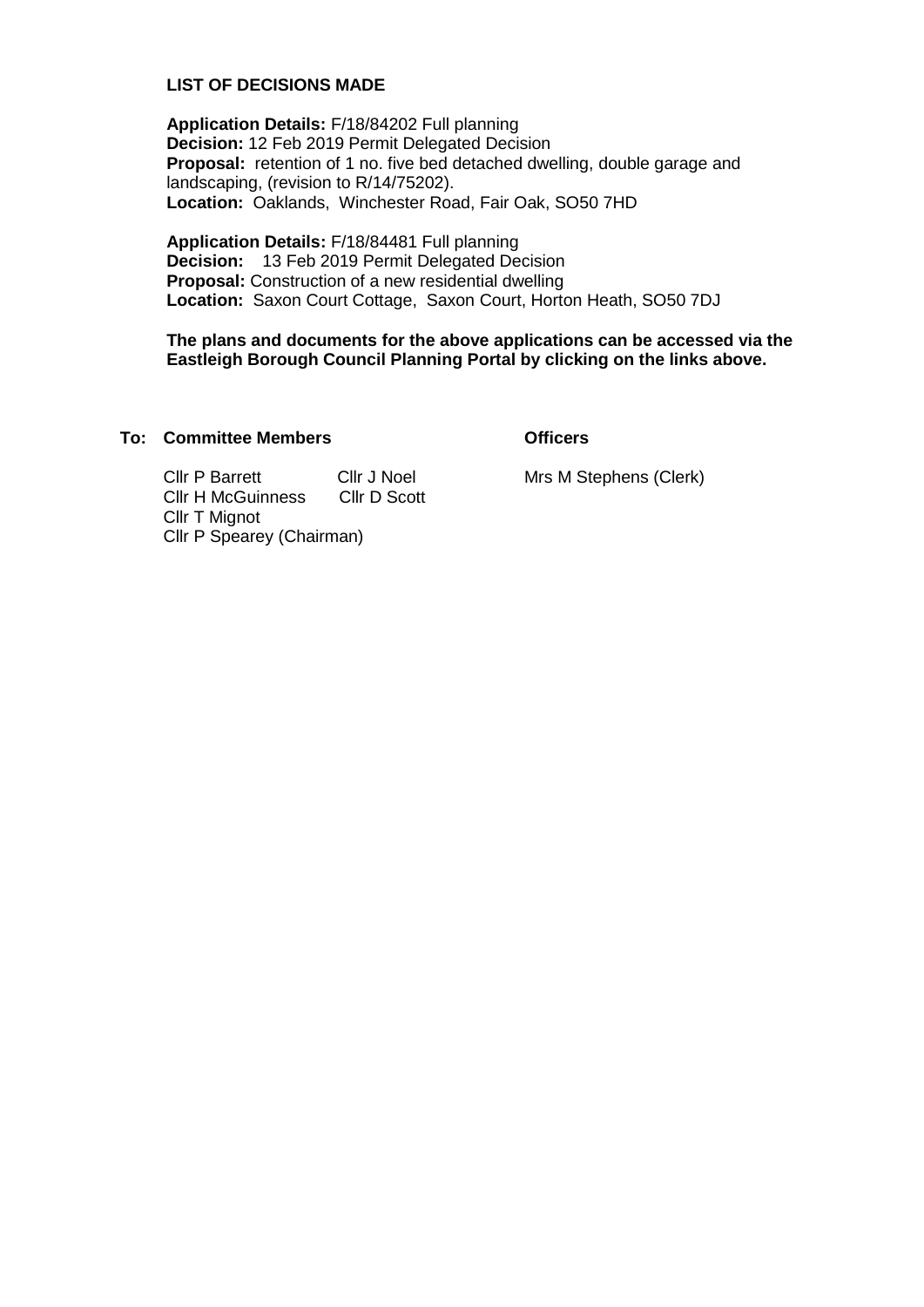#### **LIST OF DECISIONS MADE**

**Application Details:** F/18/84202 Full planning **Decision:** 12 Feb 2019 Permit Delegated Decision **Proposal:** retention of 1 no. five bed detached dwelling, double garage and landscaping, (revision to R/14/75202). **Location:** Oaklands, Winchester Road, Fair Oak, SO50 7HD

**Application Details:** F/18/84481 Full planning **Decision:** 13 Feb 2019 Permit Delegated Decision **Proposal:** Construction of a new residential dwelling **Location:** Saxon Court Cottage, Saxon Court, Horton Heath, SO50 7DJ

**The plans and documents for the above applications can be accessed via the Eastleigh Borough Council Planning Portal by clicking on the links above.**

#### **To: Committee Members Officers**

Cllr P Barrett Cllr J Noel Cllr H McGuinness Cllr D Scott Cllr T Mignot Cllr P Spearey (Chairman)

Mrs M Stephens (Clerk)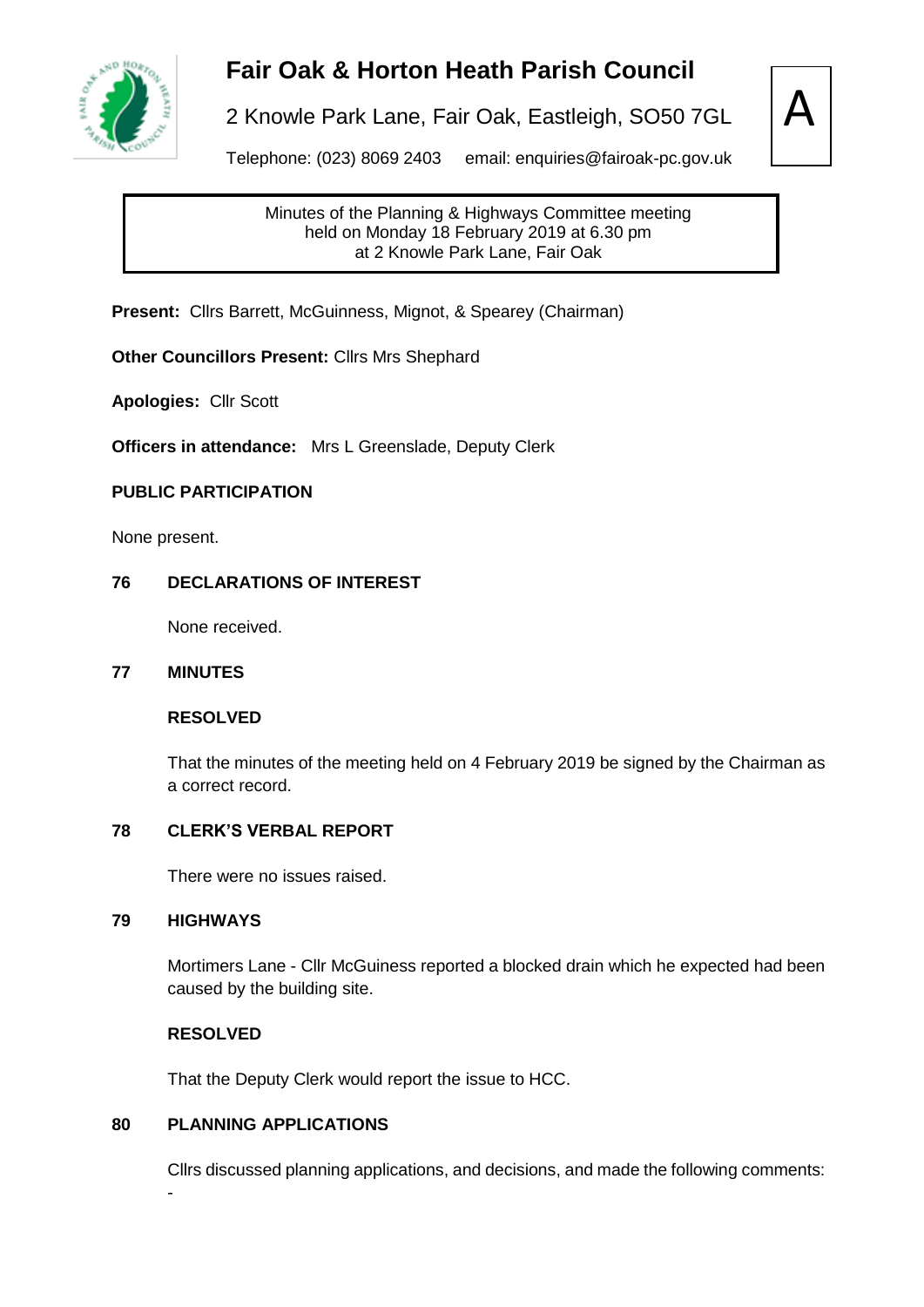

# **Fair Oak & Horton Heath Parish Council**

2 Knowle Park Lane, Fair Oak, Eastleigh, SO50 7GL



Telephone: (023) 8069 2403 email: enquiries@fairoak-pc.gov.uk

Minutes of the Planning & Highways Committee meeting held on Monday 18 February 2019 at 6.30 pm at 2 Knowle Park Lane, Fair Oak

**Present:** Cllrs Barrett, McGuinness, Mignot, & Spearey (Chairman)

**Other Councillors Present:** Cllrs Mrs Shephard

**Apologies:** Cllr Scott

**Officers in attendance:** Mrs L Greenslade, Deputy Clerk

#### **PUBLIC PARTICIPATION**

None present.

#### **76 DECLARATIONS OF INTEREST**

None received.

#### **77 MINUTES**

#### **RESOLVED**

That the minutes of the meeting held on 4 February 2019 be signed by the Chairman as a correct record.

#### **78 CLERK'S VERBAL REPORT**

There were no issues raised.

#### **79 HIGHWAYS**

-

Mortimers Lane - Cllr McGuiness reported a blocked drain which he expected had been caused by the building site.

#### **RESOLVED**

That the Deputy Clerk would report the issue to HCC.

#### **80 PLANNING APPLICATIONS**

Cllrs discussed planning applications, and decisions, and made the following comments: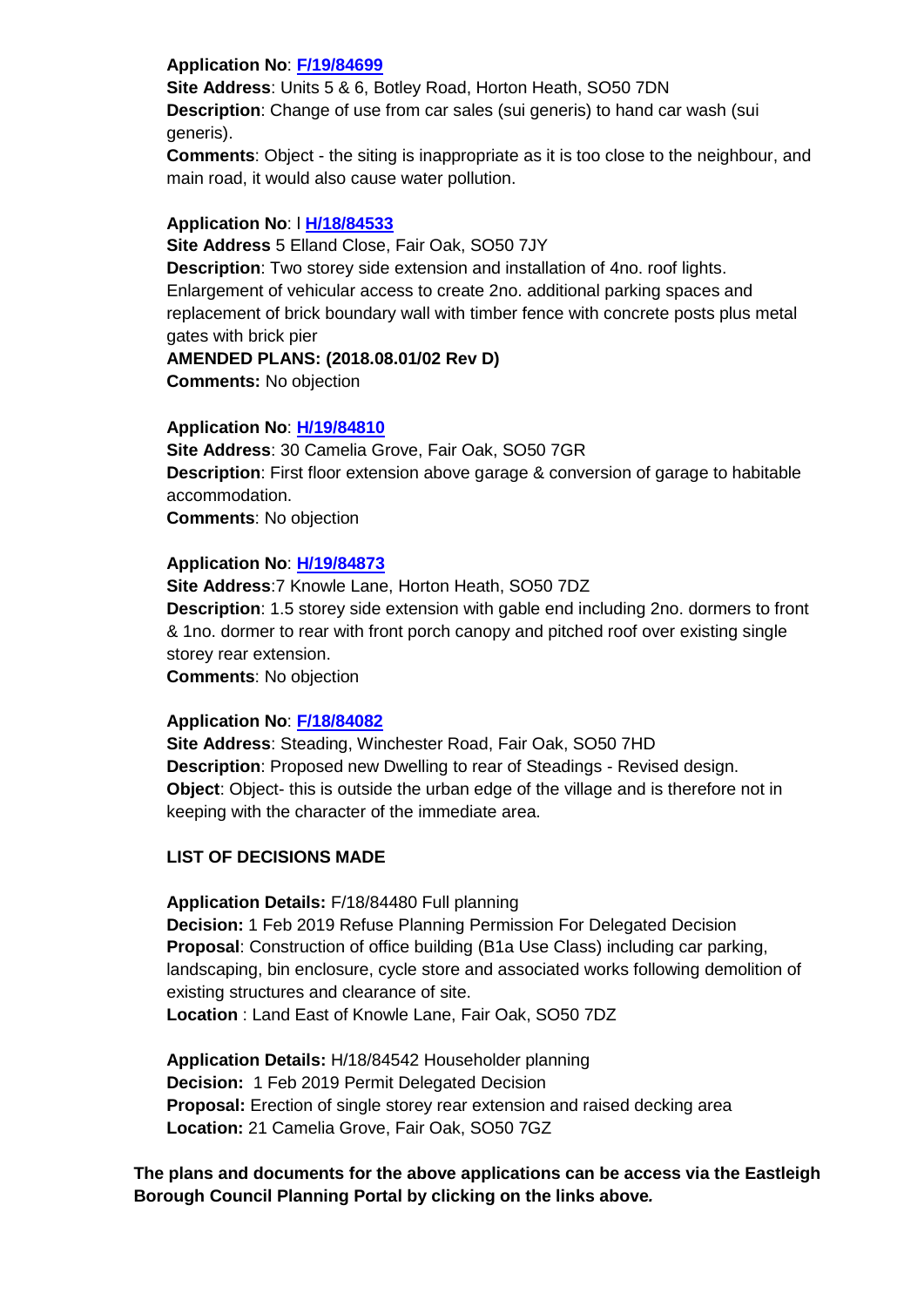#### **Application No**: **[F/19/84699](https://planning.eastleigh.gov.uk/s/papplication/a1M1v000004IsPc)**

**Site Address**: Units 5 & 6, Botley Road, Horton Heath, SO50 7DN **Description**: Change of use from car sales (sui generis) to hand car wash (sui generis).

**Comments**: Object - the siting is inappropriate as it is too close to the neighbour, and main road, it would also cause water pollution.

#### **Application No**: l **[H/18/84533](https://planning.eastleigh.gov.uk/s/papplication/a1M1v000004Iiy9)**

**Site Address** 5 Elland Close, Fair Oak, SO50 7JY **Description**: Two storey side extension and installation of 4no. roof lights. Enlargement of vehicular access to create 2no. additional parking spaces and replacement of brick boundary wall with timber fence with concrete posts plus metal gates with brick pier

#### **AMENDED PLANS: (2018.08.01/02 Rev D)**

**Comments:** No objection

#### **Application No**: **[H/19/84810](https://planning.eastleigh.gov.uk/s/papplication/a1M1v000004IuFM)**

**Site Address**: 30 Camelia Grove, Fair Oak, SO50 7GR **Description**: First floor extension above garage & conversion of garage to habitable accommodation. **Comments**: No objection

#### **Application No**: **[H/19/84873](https://planning.eastleigh.gov.uk/s/papplication/a1M1v000005GPHe)**

**Site Address**:7 Knowle Lane, Horton Heath, SO50 7DZ **Description**: 1.5 storey side extension with gable end including 2no. dormers to front & 1no. dormer to rear with front porch canopy and pitched roof over existing single storey rear extension. **Comments**: No objection

#### **Application No**: **[F/18/84082](https://planning.eastleigh.gov.uk/s/papplication/a1M1v0000041AHi)**

**Site Address**: Steading, Winchester Road, Fair Oak, SO50 7HD **Description**: Proposed new Dwelling to rear of Steadings - Revised design. **Object**: Object- this is outside the urban edge of the village and is therefore not in keeping with the character of the immediate area.

### **LIST OF DECISIONS MADE**

**Application Details:** F/18/84480 Full planning

**Decision:** 1 Feb 2019 Refuse Planning Permission For Delegated Decision **Proposal**: Construction of office building (B1a Use Class) including car parking, landscaping, bin enclosure, cycle store and associated works following demolition of existing structures and clearance of site.

**Location** : Land East of Knowle Lane, Fair Oak, SO50 7DZ

**Application Details:** H/18/84542 Householder planning **Decision:** 1 Feb 2019 Permit Delegated Decision **Proposal:** Erection of single storey rear extension and raised decking area **Location:** 21 Camelia Grove, Fair Oak, SO50 7GZ

**The plans and documents for the above applications can be access via the Eastleigh Borough Council Planning Portal by clicking on the links above***.*